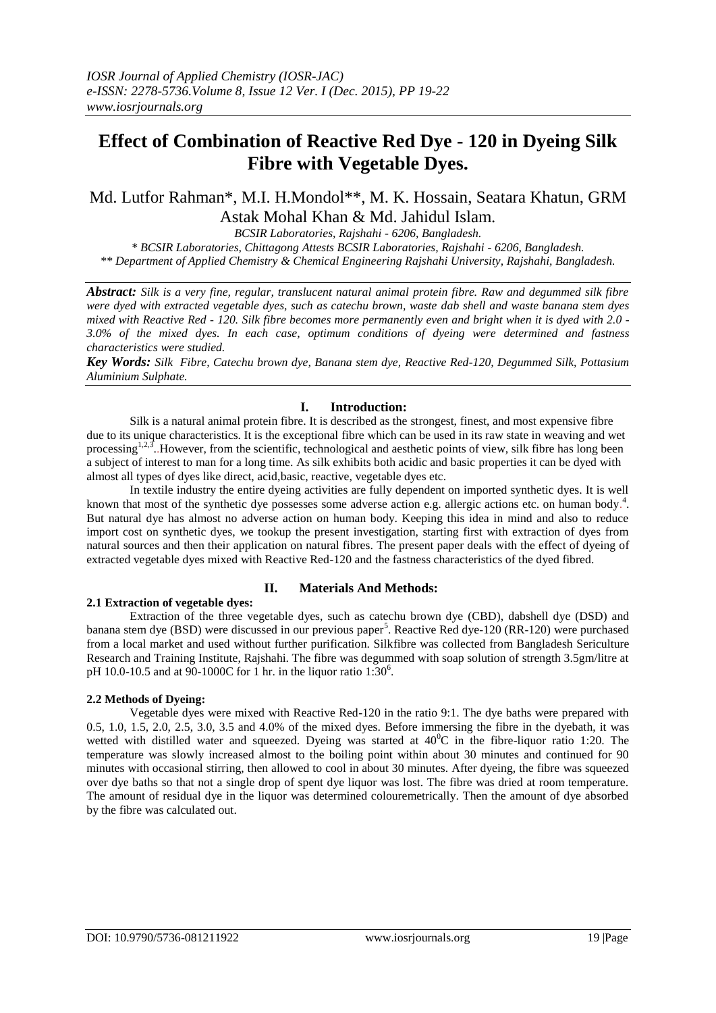# **Effect of Combination of Reactive Red Dye - 120 in Dyeing Silk Fibre with Vegetable Dyes.**

# Md. Lutfor Rahman\*, M.I. H.Mondol\*\*, M. K. Hossain, Seatara Khatun, GRM Astak Mohal Khan & Md. Jahidul Islam.

*BCSIR Laboratories, Rajshahi - 6206, Bangladesh. \* BCSIR Laboratories, Chittagong Attests BCSIR Laboratories, Rajshahi - 6206, Bangladesh. \*\* Department of Applied Chemistry & Chemical Engineering Rajshahi University, Rajshahi, Bangladesh.*

*Abstract: Silk is a very fine, regular, translucent natural animal protein fibre. Raw and degummed silk fibre were dyed with extracted vegetable dyes, such as catechu brown, waste dab shell and waste banana stem dyes mixed with Reactive Red - 120. Silk fibre becomes more permanently even and bright when it is dyed with 2.0 - 3.0% of the mixed dyes. In each case, optimum conditions of dyeing were determined and fastness characteristics were studied.*

*Key Words: Silk Fibre, Catechu brown dye, Banana stem dye, Reactive Red-120, Degummed Silk, Pottasium Aluminium Sulphate.*

#### **I. Introduction:**

Silk is a natural animal protein fibre. It is described as the strongest, finest, and most expensive fibre due to its unique characteristics. It is the exceptional fibre which can be used in its raw state in weaving and wet processing<sup>1,2,3</sup>. However, from the scientific, technological and aesthetic points of view, silk fibre has long been a subject of interest to man for a long time. As silk exhibits both acidic and basic properties it can be dyed with almost all types of dyes like direct, acid,basic, reactive, vegetable dyes etc.

In textile industry the entire dyeing activities are fully dependent on imported synthetic dyes. It is well known that most of the synthetic dye possesses some adverse action e.g. allergic actions etc. on human body.<sup>4</sup>. But natural dye has almost no adverse action on human body. Keeping this idea in mind and also to reduce import cost on synthetic dyes, we tookup the present investigation, starting first with extraction of dyes from natural sources and then their application on natural fibres. The present paper deals with the effect of dyeing of extracted vegetable dyes mixed with Reactive Red-120 and the fastness characteristics of the dyed fibred.

## **II. Materials And Methods:**

## **2.1 Extraction of vegetable dyes:**

Extraction of the three vegetable dyes, such as catechu brown dye (CBD), dabshell dye (DSD) and banana stem dye (BSD) were discussed in our previous paper<sup>5</sup>. Reactive Red dye-120 (RR-120) were purchased from a local market and used without further purification. Silkfibre was collected from Bangladesh Sericulture Research and Training Institute, Rajshahi. The fibre was degummed with soap solution of strength 3.5gm/litre at pH 10.0-10.5 and at 90-1000C for 1 hr. in the liquor ratio  $1:30^6$ .

## **2.2 Methods of Dyeing:**

Vegetable dyes were mixed with Reactive Red-120 in the ratio 9:1. The dye baths were prepared with 0.5, 1.0, 1.5, 2.0, 2.5, 3.0, 3.5 and 4.0% of the mixed dyes. Before immersing the fibre in the dyebath, it was wetted with distilled water and squeezed. Dyeing was started at  $40^{\circ}$ C in the fibre-liquor ratio 1:20. The temperature was slowly increased almost to the boiling point within about 30 minutes and continued for 90 minutes with occasional stirring, then allowed to cool in about 30 minutes. After dyeing, the fibre was squeezed over dye baths so that not a single drop of spent dye liquor was lost. The fibre was dried at room temperature. The amount of residual dye in the liquor was determined colouremetrically. Then the amount of dye absorbed by the fibre was calculated out.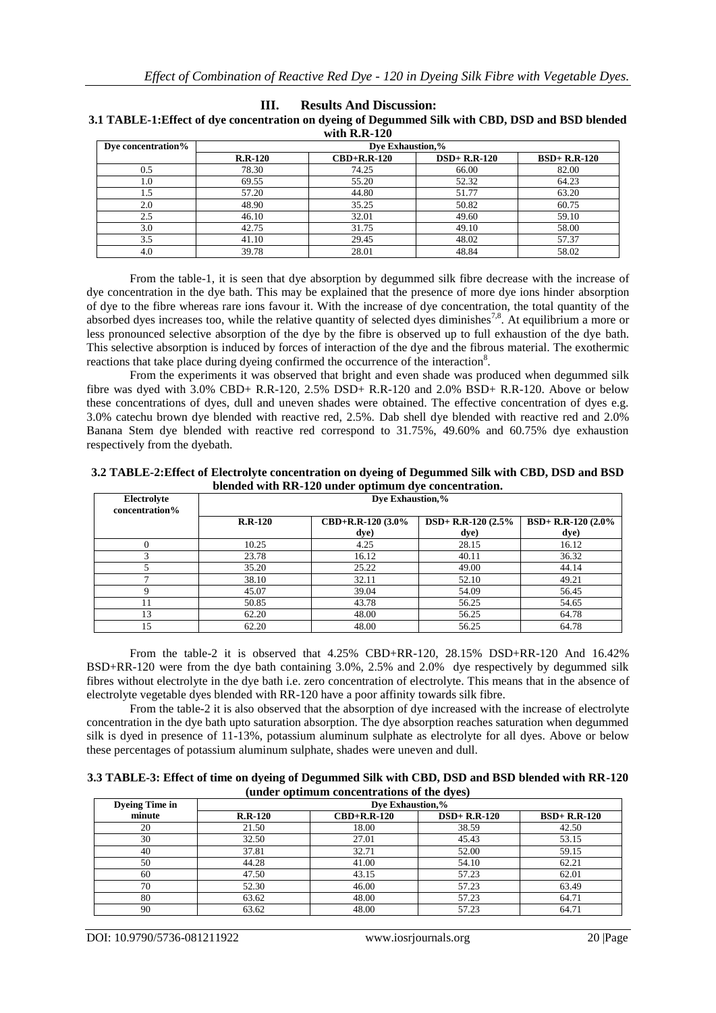| with $R.R-120$     |           |                                    |                |                |  |
|--------------------|-----------|------------------------------------|----------------|----------------|--|
| Dye concentration% |           | Dye Exhaustion,%                   |                |                |  |
|                    | $R.R-120$ | $\text{CBD}+\text{R}.\text{R-120}$ | $DSD+ R.R-120$ | $BSD+ R.R-120$ |  |
| 0.5                | 78.30     | 74.25                              | 66.00          | 82.00          |  |
| 1.0                | 69.55     | 55.20                              | 52.32          | 64.23          |  |
| 1.5                | 57.20     | 44.80                              | 51.77          | 63.20          |  |
| 2.0                | 48.90     | 35.25                              | 50.82          | 60.75          |  |
| 2.5                | 46.10     | 32.01                              | 49.60          | 59.10          |  |
| 3.0                | 42.75     | 31.75                              | 49.10          | 58.00          |  |
| 3.5                | 41.10     | 29.45                              | 48.02          | 57.37          |  |
| 4.0                | 39.78     | 28.01                              | 48.84          | 58.02          |  |

**III. Results And Discussion:**

**3.1 TABLE-1:Effect of dye concentration on dyeing of Degummed Silk with CBD, DSD and BSD blended** 

From the table-1, it is seen that dye absorption by degummed silk fibre decrease with the increase of dye concentration in the dye bath. This may be explained that the presence of more dye ions hinder absorption of dye to the fibre whereas rare ions favour it. With the increase of dye concentration, the total quantity of the absorbed dyes increases too, while the relative quantity of selected dyes diminishes<sup>7,8</sup>. At equilibrium a more or less pronounced selective absorption of the dye by the fibre is observed up to full exhaustion of the dye bath. This selective absorption is induced by forces of interaction of the dye and the fibrous material. The exothermic reactions that take place during dyeing confirmed the occurrence of the interaction<sup>8</sup>.

From the experiments it was observed that bright and even shade was produced when degummed silk fibre was dyed with 3.0% CBD+ R.R-120, 2.5% DSD+ R.R-120 and 2.0% BSD+ R.R-120. Above or below these concentrations of dyes, dull and uneven shades were obtained. The effective concentration of dyes e.g. 3.0% catechu brown dye blended with reactive red, 2.5%. Dab shell dye blended with reactive red and 2.0% Banana Stem dye blended with reactive red correspond to 31.75%, 49.60% and 60.75% dye exhaustion respectively from the dyebath.

| 3.2 TABLE-2: Effect of Electrolyte concentration on dyeing of Degummed Silk with CBD, DSD and BSD |  |
|---------------------------------------------------------------------------------------------------|--|
| blended with RR-120 under optimum dye concentration.                                              |  |

| Electrolyte<br>concentration% | Dye Exhaustion,% |                      |                       |                     |
|-------------------------------|------------------|----------------------|-----------------------|---------------------|
|                               | $R.R-120$        | $CBD+R.R-120$ (3.0%) | $DSD+ R.R-120 (2.5\%$ | BSD+ R.R-120 (2.0%) |
|                               |                  | dye)                 | dye)                  | dye)                |
|                               | 10.25            | 4.25                 | 28.15                 | 16.12               |
|                               | 23.78            | 16.12                | 40.11                 | 36.32               |
|                               | 35.20            | 25.22                | 49.00                 | 44.14               |
|                               | 38.10            | 32.11                | 52.10                 | 49.21               |
|                               | 45.07            | 39.04                | 54.09                 | 56.45               |
|                               | 50.85            | 43.78                | 56.25                 | 54.65               |
| 13                            | 62.20            | 48.00                | 56.25                 | 64.78               |
| 15                            | 62.20            | 48.00                | 56.25                 | 64.78               |

From the table-2 it is observed that 4.25% CBD+RR-120, 28.15% DSD+RR-120 And 16.42% BSD+RR-120 were from the dye bath containing 3.0%, 2.5% and 2.0% dye respectively by degummed silk fibres without electrolyte in the dye bath i.e. zero concentration of electrolyte. This means that in the absence of electrolyte vegetable dyes blended with RR-120 have a poor affinity towards silk fibre.

From the table-2 it is also observed that the absorption of dye increased with the increase of electrolyte concentration in the dye bath upto saturation absorption. The dye absorption reaches saturation when degummed silk is dyed in presence of 11-13%, potassium aluminum sulphate as electrolyte for all dyes. Above or below these percentages of potassium aluminum sulphate, shades were uneven and dull.

**3.3 TABLE-3: Effect of time on dyeing of Degummed Silk with CBD, DSD and BSD blended with RR-120 (under optimum concentrations of the dyes)**

| <b>Dyeing Time in</b> | Dye Exhaustion,% |                                    |                |                |
|-----------------------|------------------|------------------------------------|----------------|----------------|
| minute                | $R.R-120$        | $\text{CBD}+\text{R}.\text{R}-120$ | $DSD+ R.R-120$ | $BSD+ R.R-120$ |
| 20                    | 21.50            | 18.00                              | 38.59          | 42.50          |
| 30                    | 32.50            | 27.01                              | 45.43          | 53.15          |
| 40                    | 37.81            | 32.71                              | 52.00          | 59.15          |
| 50                    | 44.28            | 41.00                              | 54.10          | 62.21          |
| 60                    | 47.50            | 43.15                              | 57.23          | 62.01          |
| 70                    | 52.30            | 46.00                              | 57.23          | 63.49          |
| 80                    | 63.62            | 48.00                              | 57.23          | 64.71          |
| 90                    | 63.62            | 48.00                              | 57.23          | 64.71          |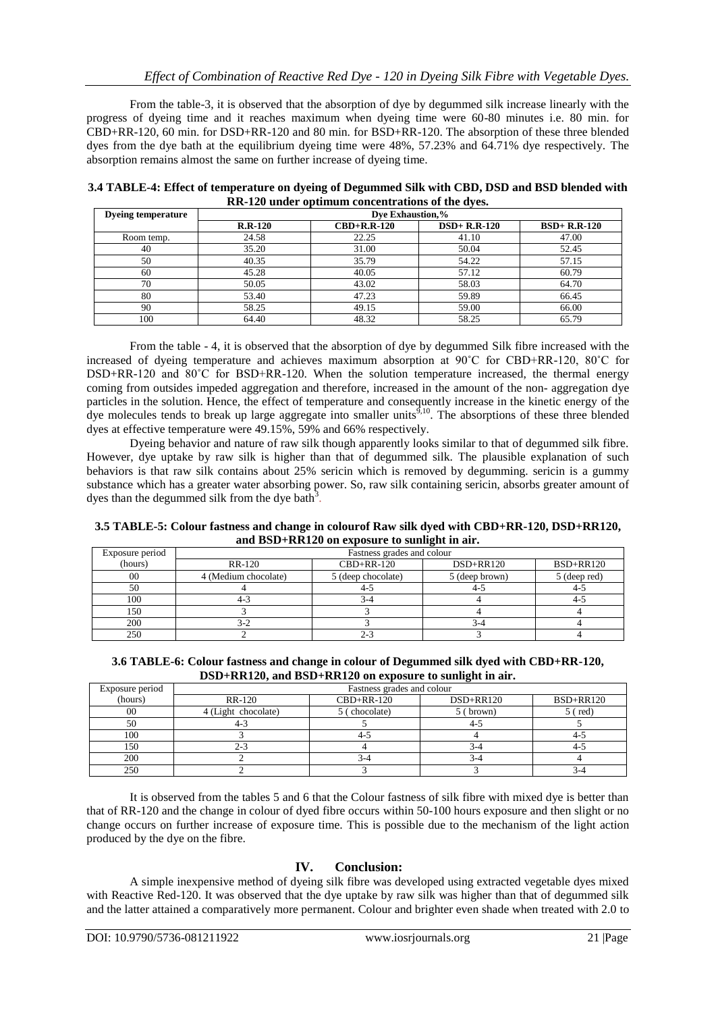From the table-3, it is observed that the absorption of dye by degummed silk increase linearly with the progress of dyeing time and it reaches maximum when dyeing time were 60-80 minutes i.e. 80 min. for CBD+RR-120, 60 min. for DSD+RR-120 and 80 min. for BSD+RR-120. The absorption of these three blended dyes from the dye bath at the equilibrium dyeing time were 48%, 57.23% and 64.71% dye respectively. The absorption remains almost the same on further increase of dyeing time.

| 3.4 TABLE-4: Effect of temperature on dyeing of Degummed Silk with CBD, DSD and BSD blended with |  |
|--------------------------------------------------------------------------------------------------|--|
| RR-120 under optimum concentrations of the dyes.                                                 |  |

| <b>Dyeing temperature</b> | Dye Exhaustion,% |                                    |                |                |
|---------------------------|------------------|------------------------------------|----------------|----------------|
|                           | $R.R-120$        | $\text{CBD}+\text{R}.\text{R}-120$ | $DSD+ R.R-120$ | $BSD+ R.R-120$ |
| Room temp.                | 24.58            | 22.25                              | 41.10          | 47.00          |
| 40                        | 35.20            | 31.00                              | 50.04          | 52.45          |
| 50                        | 40.35            | 35.79                              | 54.22          | 57.15          |
| 60                        | 45.28            | 40.05                              | 57.12          | 60.79          |
| 70                        | 50.05            | 43.02                              | 58.03          | 64.70          |
| 80                        | 53.40            | 47.23                              | 59.89          | 66.45          |
| 90                        | 58.25            | 49.15                              | 59.00          | 66.00          |
| 100                       | 64.40            | 48.32                              | 58.25          | 65.79          |

From the table - 4, it is observed that the absorption of dye by degummed Silk fibre increased with the increased of dyeing temperature and achieves maximum absorption at 90˚C for CBD+RR-120, 80˚C for DSD+RR-120 and 80˚C for BSD+RR-120. When the solution temperature increased, the thermal energy coming from outsides impeded aggregation and therefore, increased in the amount of the non- aggregation dye particles in the solution. Hence, the effect of temperature and consequently increase in the kinetic energy of the dye molecules tends to break up large aggregate into smaller units<sup> $9,10$ </sup>. The absorptions of these three blended dyes at effective temperature were 49.15%, 59% and 66% respectively.

Dyeing behavior and nature of raw silk though apparently looks similar to that of degummed silk fibre. However, dye uptake by raw silk is higher than that of degummed silk. The plausible explanation of such behaviors is that raw silk contains about 25% sericin which is removed by degumming. sericin is a gummy substance which has a greater water absorbing power. So, raw silk containing sericin, absorbs greater amount of dyes than the degummed silk from the dye bath<sup>3</sup>.

**3.5 TABLE-5: Colour fastness and change in colourof Raw silk dyed with CBD+RR-120, DSD+RR120, and BSD+RR120 on exposure to sunlight in air.**

| Exposure period | Fastness grades and colour |                    |                |                  |
|-----------------|----------------------------|--------------------|----------------|------------------|
| (hours)         | <b>RR-120</b>              | $CBD+RR-120$       | $DSD+RR120$    | <b>BSD+RR120</b> |
| 00              | 4 (Medium chocolate)       | 5 (deep chocolate) | 5 (deep brown) | 5 (deep red)     |
| 50              |                            | 4-:                | 4-1            | $4 - 1$          |
| 100             |                            |                    |                | -4-1             |
| 150             |                            |                    |                |                  |
| 200             |                            |                    | 3-4            |                  |
| 250             |                            | $2 -$              |                |                  |

**3.6 TABLE-6: Colour fastness and change in colour of Degummed silk dyed with CBD+RR-120, DSD+RR120, and BSD+RR120 on exposure to sunlight in air.**

| Exposure period | Fastness grades and colour |               |           |                  |
|-----------------|----------------------------|---------------|-----------|------------------|
| (hours)         | RR-120                     | $CBD+RR-120$  | DSD+RR120 | <b>BSD+RR120</b> |
| 00              | 4 (Light chocolate)        | 5 (chocolate) | (brown)   | $5$ (red)        |
| 50              | 4-≾                        |               | 4-2       |                  |
| 100             |                            | $4 - 7$       |           | 4-5              |
| 150             | 2-3                        |               | 3-4       | 4-5              |
| 200             |                            | 3-4           | 3-4       |                  |
| 250             |                            |               |           | 3-4              |

It is observed from the tables 5 and 6 that the Colour fastness of silk fibre with mixed dye is better than that of RR-120 and the change in colour of dyed fibre occurs within 50-100 hours exposure and then slight or no change occurs on further increase of exposure time. This is possible due to the mechanism of the light action produced by the dye on the fibre.

## **IV. Conclusion:**

A simple inexpensive method of dyeing silk fibre was developed using extracted vegetable dyes mixed with Reactive Red-120. It was observed that the dye uptake by raw silk was higher than that of degummed silk and the latter attained a comparatively more permanent. Colour and brighter even shade when treated with 2.0 to